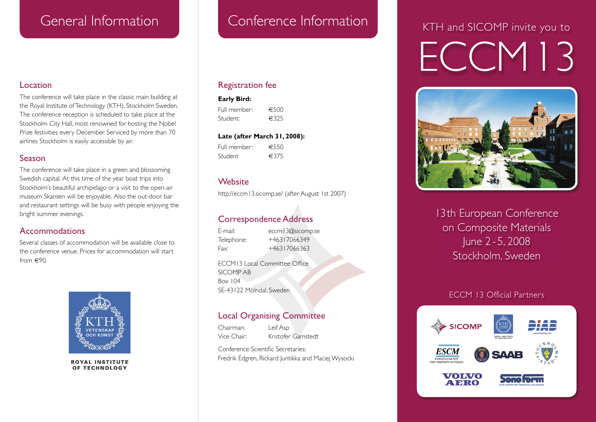#### Location

The conference will take place in the classic main building at the Royal Institute of Technology (KTH), Stockholm Sweden. The conference reception is scheduled to take place at the Stockholm City Hall, most renowned for hosting the Nobel Prize festivities every December. Serviced by more than 70 airlines Stockholm is easily accessible by air.

#### Season

The conference will take place in a green and blossoming Swedish capital. At this time of the year boat trips into Stockholm's beautiful archipelago or a visit to the open-air museum Skansen will be enjoyable. Also the out-door bar and restaurant settings will be busy with people enjoying the bright summer evenings.

#### Accommodations

Several classes of accommodation will be available close to the conference venue. Prices for accommodation will start from  $\in 90$ .



**ROYAL INSTITUTE** OF TECHNOLOGY

#### Registration fee

#### **Early Bird:**

Full member:  $€500$ <br>Student:  $€325$ Student:

#### **Late (after March 31, 2008):**

Full member: €550 Student €375

#### **Website**

http://eccm13.sicomp.se/ (after August 1st 2007)

## Correspondence Address

E-mail: eccm13@sicomp.se Telephone: +46317066349 Fax: +46317066363

ECCM13 Local Committee Office SICOMP AB Box 104 SE-43122 Mölndal, Sweden

#### Local Organising Committee

Chairman: Leif Asp Vice Chair: Kristofer Gamstedt

Conference Scientific Secretaries: Fredrik Edgren, Rickard Juntikka and Maciej Wysocki

# ECCM13 KTH and SICOMP invite you to



13th European Conference on Composite Materials June 2 - 5, 2008 Stockholm, Sweden

#### ECCM 13 Official Partners